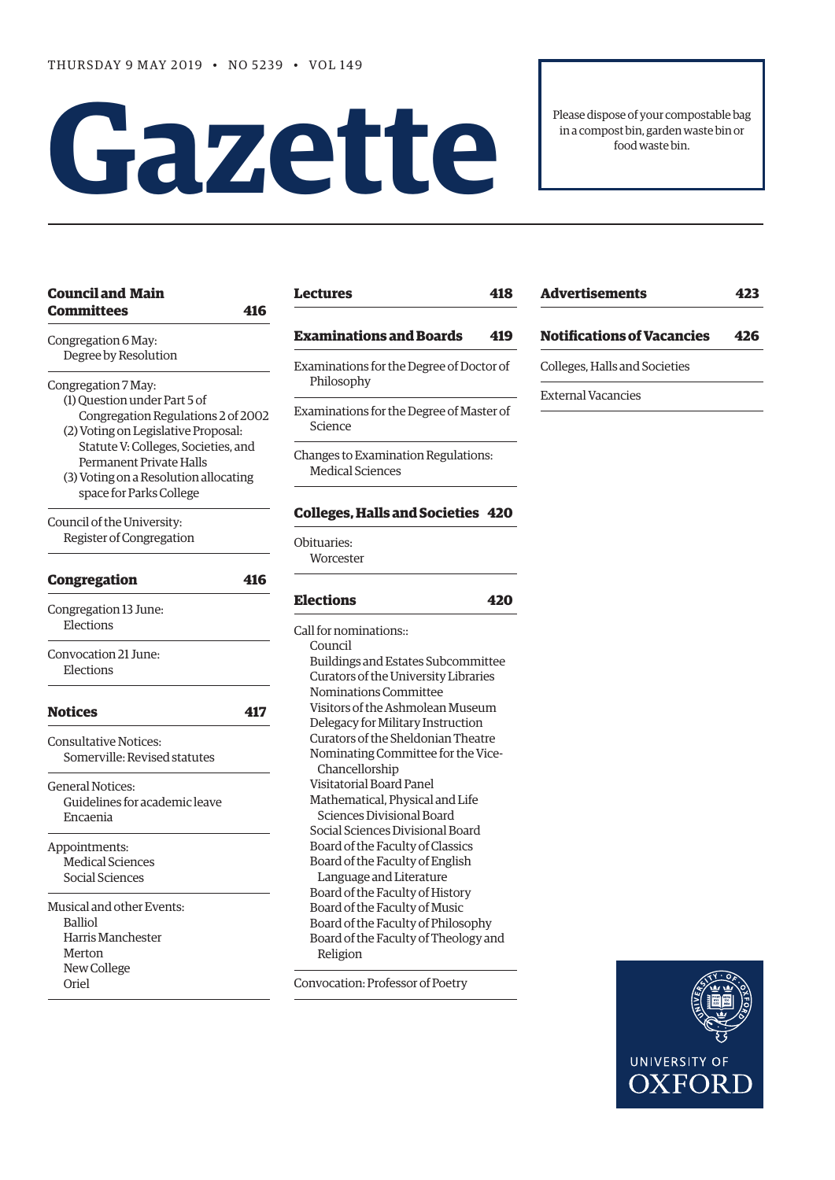# Please dispose of your compostable bag<br>in a compost bin, garden waste bin or<br>food waste bin.

in a compost bin, garden waste bin or food waste bin.

| <b>Council and Main</b><br><b>Committees</b><br>416                                                                                                                                                                                                                    |
|------------------------------------------------------------------------------------------------------------------------------------------------------------------------------------------------------------------------------------------------------------------------|
| Congregation 6 May:<br>Degree by Resolution                                                                                                                                                                                                                            |
| Congregation 7 May:<br>(1) Question under Part 5 of<br>Congregation Regulations 2 of 2002<br>(2) Voting on Legislative Proposal:<br>Statute V: Colleges, Societies, and<br>Permanent Private Halls<br>(3) Voting on a Resolution allocating<br>space for Parks College |
| Council of the University:<br>Register of Congregation                                                                                                                                                                                                                 |
| <b>Congregation</b><br>416                                                                                                                                                                                                                                             |
| Congregation 13 June:<br>Elections                                                                                                                                                                                                                                     |
| Convocation 21 June:<br>Elections                                                                                                                                                                                                                                      |
| <b>Notices</b><br>417                                                                                                                                                                                                                                                  |
| <b>Consultative Notices:</b><br>Somerville: Revised statutes                                                                                                                                                                                                           |
| <b>General Notices:</b><br>Guidelines for academic leave<br>Encaenia                                                                                                                                                                                                   |
| Appointments:<br><b>Medical Sciences</b><br>Social Sciences                                                                                                                                                                                                            |
| Musical and other Events:<br><b>Balliol</b><br>Harris Manchester<br>Merton<br>New College<br>Oriel                                                                                                                                                                     |

## **[Lectures 418](#page-3-0)**

#### **[Examinations and Boards 419](#page-4-0)**

- Examinations for the Degree of Doctor of Philosophy
- Examinations for the Degree of Master of Science
- Changes to Examination Regulations: Medical Sciences

#### **[Colleges, Halls and Societies 420](#page-5-0)**

Obituaries: **Worcester** 

## **[Elections 4](#page-5-0)20**

Call for nominations:: Council Buildings and Estates Subcommittee Curators of the University Libraries Nominations Committee Visitors of the Ashmolean Museum Delegacy for Military Instruction Curators of the Sheldonian Theatre Nominating Committee for the Vice- Chancellorship Visitatorial Board Panel Mathematical, Physical and Life Sciences Divisional Board Social Sciences Divisional Board Board of the Faculty of Classics Board of the Faculty of English Language and Literature Board of the Faculty of History Board of the Faculty of Music Board of the Faculty of Philosophy Board of the Faculty of Theology and Religion

#### Convocation: Professor of Poetr[y](#page-6-0)

| Advertisements                    | 423 |
|-----------------------------------|-----|
| <b>Notifications of Vacancies</b> | 426 |
| Colleges, Halls and Societies     |     |
| <b>External Vacancies</b>         |     |

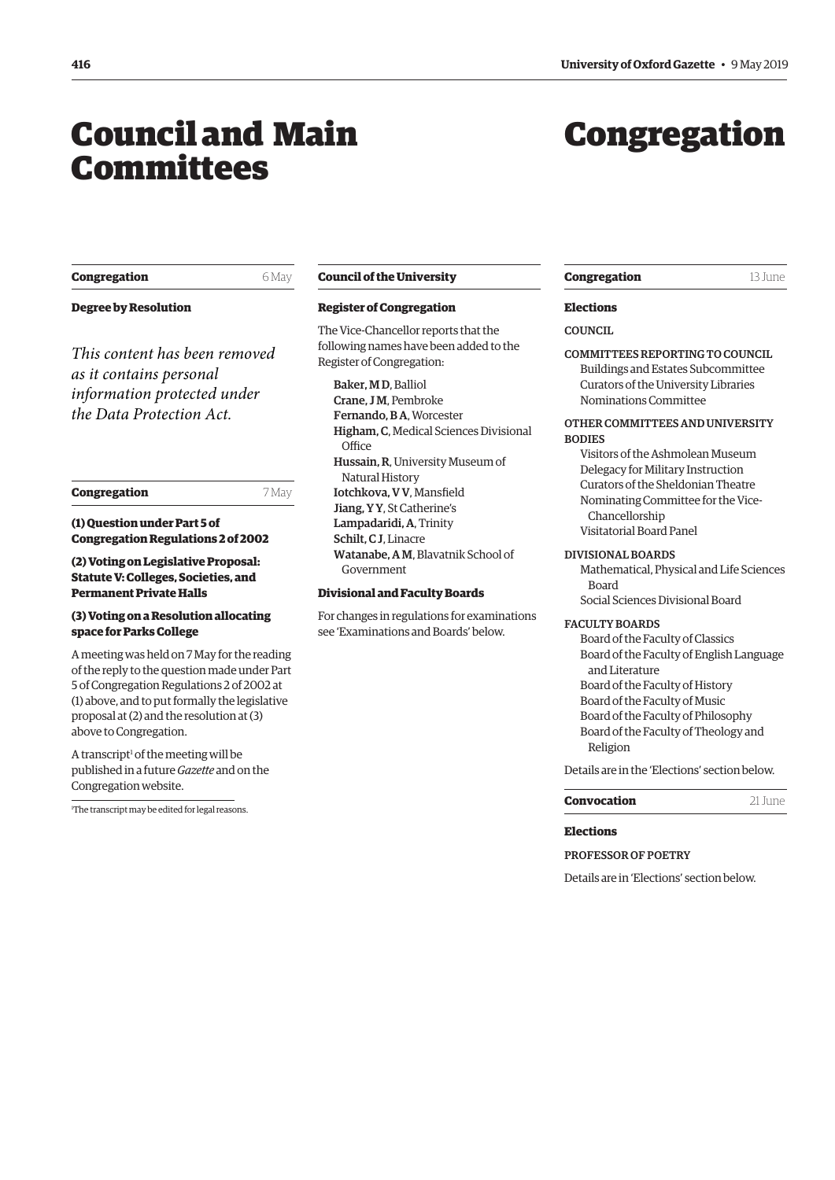## <span id="page-1-0"></span>Council and Main Committees

# Congregation

#### **Congregation** 6 May

**Degree by Resolution** 

*This content has been removed as it contains personal information protected under the Data Protection Act.*

#### **Congregation** 7 May

**(1) Question under Part 5 of Congregation Regulations 2 of 2002** 

#### **(2) Voting on Legislative Proposal: Statute V: Colleges, Societies, and Permanent Private Halls**

#### **(3) Voting on a Resolution allocating space for Parks College**

A meeting was held on 7 May for the reading of the reply to the question made under Part 5 of Congregation Regulations 2 of 2002 at (1) above, and to put formally the legislative proposal at (2) and the resolution at (3) above to Congregation.

A transcript<sup>1</sup> of the meeting will be published in a future *Gazette* and on the Congregation website.

1 The transcript may be edited for legal reasons.

#### **Council of the University**

#### **Register of Congregation**

The Vice-Chancellor reports that the following names have been added to the Register of Congregation:

Baker, M D, Balliol Crane, J M, Pembroke Fernando, B A, Worcester Higham, C, Medical Sciences Divisional Office Hussain, R, University Museum of Natural History Iotchkova, V V, Mansfeld Jiang, Y Y, St Catherine's Lampadaridi, A, Trinity Schilt, C J, Linacre Watanabe, A M, Blavatnik School of Government

#### **Divisional and Faculty Boards**

For changes in regulations for examinations see ['Examinations and Boards'](#page-4-0) below.

#### **Congregation** 13 June

#### **Elections**

#### **COUNCIL**

COMMITTEES REPORTING TO COUNCIL Buildings and Estates Subcommittee Curators of the University Libraries Nominations Committee

#### OTHER COMMITTEES AND UNIVERSITY **BODIES**

Visitors of the Ashmolean Museum Delegacy for Military Instruction Curators of the Sheldonian Theatre Nominating Committee for the Vice-Chancellorship Visitatorial Board Panel

#### DIVISIONAL BOARDS

Mathematical, Physical and Life Sciences Board Social Sciences Divisional Board

#### FACULTY BOARDS

Board of the Faculty of Classics Board of the Faculty of English Language and Literature Board of the Faculty of History Board of the Faculty of Music Board of the Faculty of Philosophy Board of the Faculty of Theology and Religion

Details are in the '[Elections'](#page-5-0) section below.

#### **Convocation** 21 June

### **Elections**

PROFESSOR OF POETRY

Details are in '[Elections](#page-7-0)' section below.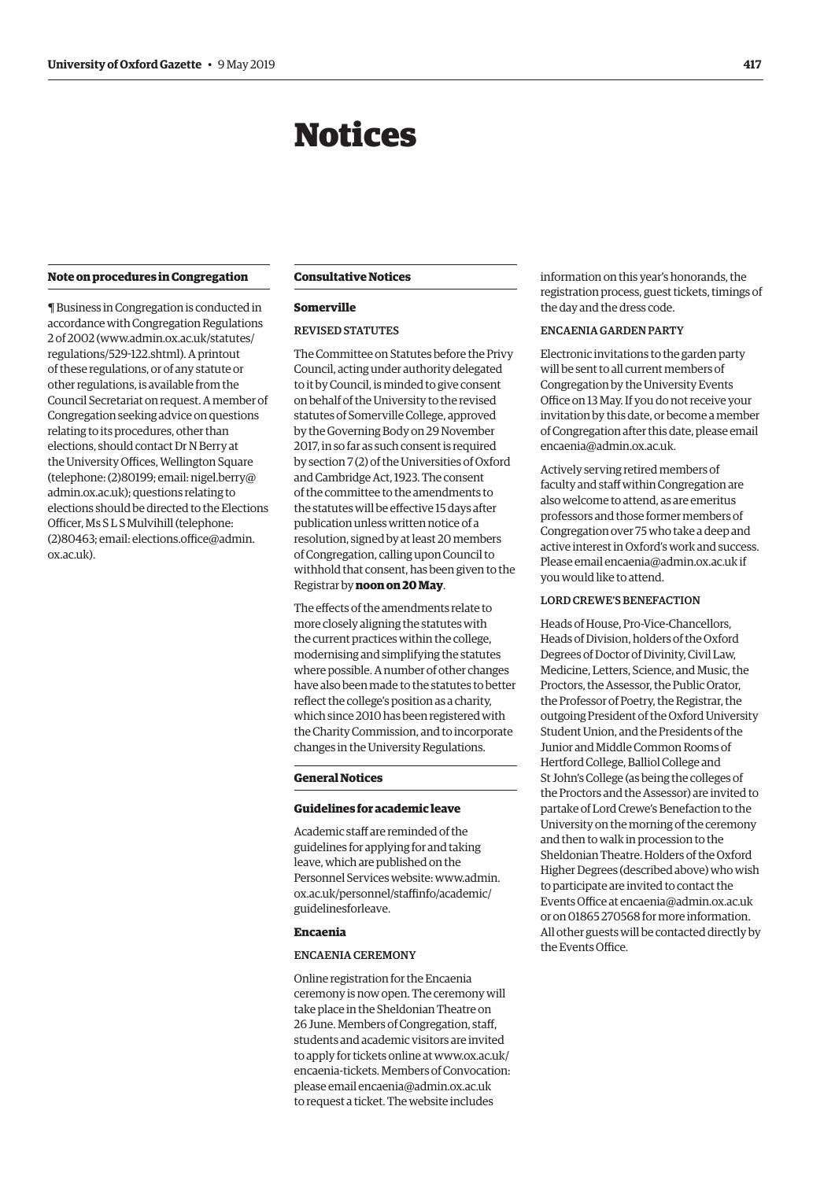## Notices

#### <span id="page-2-0"></span>**Note on procedures in Congregation**

¶ Business in Congregation is conducted in accordance with Congregation Regulations 2 of 2002 [\(www.admin.ox.ac.uk/statutes/](http://www.admin.ox.ac.uk/statutes/regulations/529-122.shtml)  [regulations/529-122.shtml\).](http://www.admin.ox.ac.uk/statutes/regulations/529-122.shtml) A printout of these regulations, or of any statute or other regulations, is available from the Council Secretariat on request. A member of Congregation seeking advice on questions relating to its procedures, other than elections, should contact Dr N Berry at the University Offices, Wellington Square (telephone: (2)80199; email: [nigel.berry@](mailto:nigel.berry@admin.ox.ac.uk)  [admin.ox.ac.uk\)](mailto:nigel.berry@admin.ox.ac.uk); questions relating to elections should be directed to the Elections Officer, Ms S L S Mulvihill (telephone:  $(2)80463$ ; email: elections.office@admin. [ox.ac.uk\)](mailto:elections.office@admin.ox.ac.uk).

#### **Consultative Notices**

#### **Somerville**

#### REVISED STATUTES

The Committee on Statutes before the Privy Council, acting under authority delegated to it by Council, is minded to give consent on behalf of the University to the revised statutes of Somerville College, approved by the Governing Body on 29 November 2017, in so far as such consent is required by section 7 (2) of the Universities of Oxford and Cambridge Act, 1923. The consent of the committee to the amendments to the statutes will be efective 15 days after publication unless written notice of a resolution, signed by at least 20 members of Congregation, calling upon Council to withhold that consent, has been given to the Registrar by **noon on 20 May**.

The effects of the amendments relate to more closely aligning the statutes with the current practices within the college, modernising and simplifying the statutes where possible. A number of other changes have also been made to the statutes to better refect the college's position as a charity, which since 2010 has been registered with the Charity Commission, and to incorporate changes in the University Regulations.

#### **General Notices**

#### **Guidelines for academic leave**

Academic staff are reminded of the guidelines for applying for and taking leave, which are published on the Personnel Services website: [www.admin.](http://www.admin.ox.ac.uk/personnel/staffinfo/academic/guidelinesforleave)  ox.ac.uk/personnel/staffinfo/academic/ [guidelinesforleave.](http://www.admin.ox.ac.uk/personnel/staffinfo/academic/guidelinesforleave) 

#### **Encaenia**

#### ENCAENIA CEREMONY

Online registration for the Encaenia ceremony is now open. The ceremony will take place in the Sheldonian Theatre on 26 June. Members of Congregation, staf, students and academic visitors are invited to apply for tickets online at [www.ox.ac.uk/](http://www.ox.ac.uk/encaenia-tickets) [encaenia-tickets.](http://www.ox.ac.uk/encaenia-tickets) Members of Convocation: please email [encaenia@admin.ox.ac.uk](mailto:encaenia@admin.ox.ac.uk) to request a ticket. The website includes

information on this year's honorands, the registration process, guest tickets, timings of the day and the dress code.

#### ENCAENIA GARDEN PARTY

Electronic invitations to the garden party will be sent to all current members of Congregation by the University Events Office on 13 May. If you do not receive your invitation by this date, or become a member of Congregation after this date, please email [encaenia@admin.ox.ac.uk](mailto:encaenia@admin.ox.ac.uk).

Actively serving retired members of faculty and staff within Congregation are also welcome to attend, as are emeritus professors and those former members of Congregation over 75 who take a deep and active interest in Oxford's work and success. Please email [encaenia@admin.ox.ac.uk](mailto:encaenia@admin.ox.ac.uk) if you would like to attend.

#### LORD CREWE'S BENEFACTION

Heads of House, Pro-Vice-Chancellors, Heads of Division, holders of the Oxford Degrees of Doctor of Divinity, Civil Law, Medicine, Letters, Science, and Music, the Proctors, the Assessor, the Public Orator, the Professor of Poetry, the Registrar, the outgoing President of the Oxford University Student Union, and the Presidents of the Junior and Middle Common Rooms of Hertford College, Balliol College and St John's College (as being the colleges of the Proctors and the Assessor) are invited to partake of Lord Crewe's Benefaction to the University on the morning of the ceremony and then to walk in procession to the Sheldonian Theatre. Holders of the Oxford Higher Degrees (described above) who wish to participate are invited to contact the Events Office at [encaenia@admin.ox.ac.uk](mailto:encaenia@admin.ox.ac.uk) or on 01865 270568 for more information. All other guests will be contacted directly by the Events Office.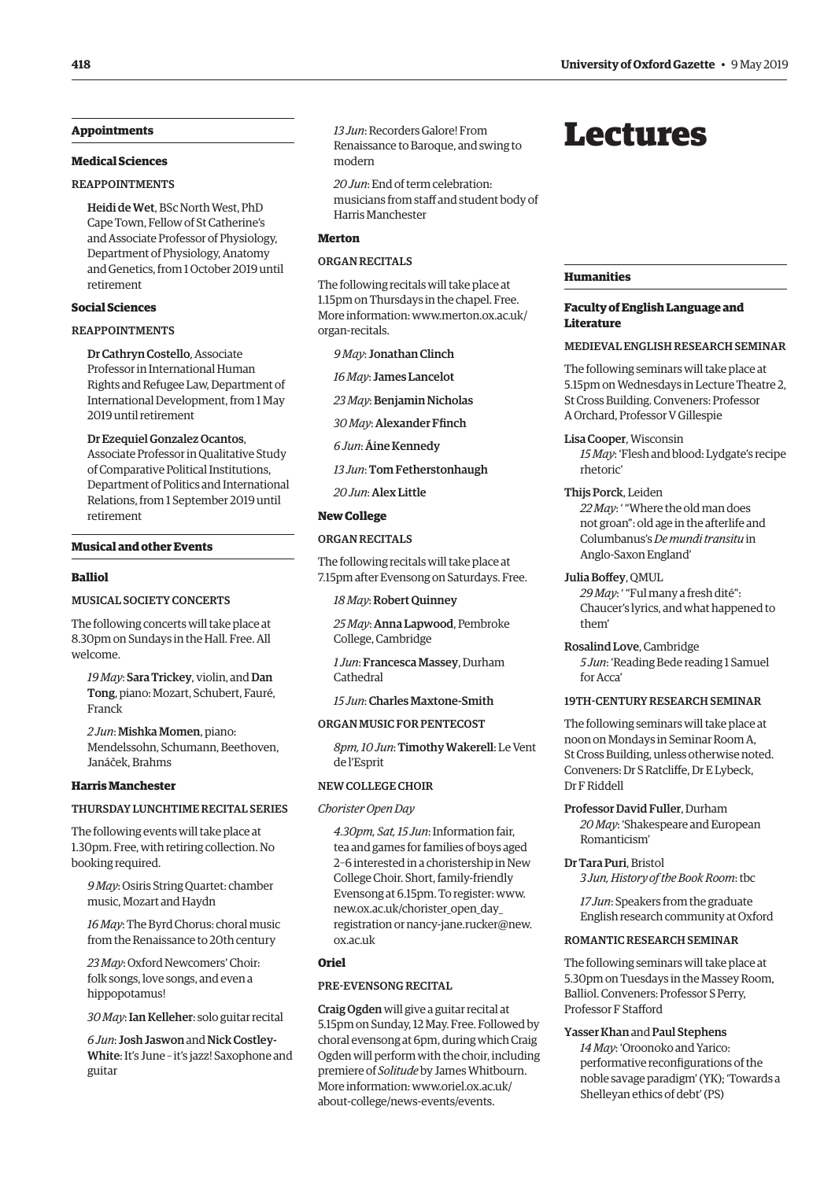#### <span id="page-3-0"></span>**Appointments**

#### **Medical Sciences**

#### **REAPPOINTMENTS**

Heidi de Wet, BSc North West, PhD Cape Town, Fellow of St Catherine's and Associate Professor of Physiology, Department of Physiology, Anatomy and Genetics, from 1 October 2019 until retirement

#### **Social Sciences**

#### REAPPOINTMENTS

Dr Cathryn Costello, Associate Professor in International Human Rights and Refugee Law, Department of International Development, from 1 May 2019 until retirement

Dr Ezequiel Gonzalez Ocantos, Associate Professor in Qualitative Study of Comparative Political Institutions, Department of Politics and International Relations, from 1 September 2019 until retirement

#### **Musical and other Events**

#### **Balliol**

#### MUSICAL SOCIETY CONCERTS

The following concerts will take place at 8.30pm on Sundays in the Hall. Free. All welcome.

*19 May*: Sara Trickey, violin, and Dan Tong, piano: Mozart, Schubert, Fauré, Franck

*2 Jun*: Mishka Momen, piano: Mendelssohn, Schumann, Beethoven, Janáček, Brahms

#### **Harris Manchester**

#### THURSDAY LUNCHTIME RECITAL SERIES

The following events will take place at 1.30pm. Free, with retiring collection. No booking required.

*9 May*: Osiris String Quartet: chamber music, Mozart and Haydn

*16 May*: The Byrd Chorus: choral music from the Renaissance to 20th century

*23 May*: Oxford Newcomers' Choir: folk songs, love songs, and even a hippopotamus!

*30 May*: Ian Kelleher: solo guitar recital

*6 Jun*: Josh Jaswon and Nick Costley-White: It's June – it's jazz! Saxophone and guitar

*13 Jun*: Recorders Galore! From Renaissance to Baroque, and swing to modern

*20 Jun*: End of term celebration: musicians from staff and student body of Harris Manchester

#### **Merton**

#### **ORGAN RECITALS**

The following recitals will take place at 1.15pm on Thursdays in the chapel. Free. More information: [www.merton.ox.ac.uk/](http://www.merton.ox.ac.uk/organ-recitals) [organ-recitals.](http://www.merton.ox.ac.uk/organ-recitals) 

*9 May*: Jonathan Clinch

*16 May*: James Lancelot

*23 May*: Benjamin Nicholas

*30 May*: Alexander Ffnch

*6 Jun*: Áine Kennedy

*13 Jun*: Tom Fetherstonhaugh

*20 Jun*: Alex Little

#### **New College**

#### ORGAN RECITALS

The following recitals will take place at 7.15pm after Evensong on Saturdays. Free.

*18 May*: Robert Quinney

*25 May*: Anna Lapwood, Pembroke College, Cambridge

*1 Jun*: Francesca Massey, Durham Cathedral

*15 Jun*: Charles Maxtone-Smith

#### ORGAN MUSIC FOR PENTECOST

*8pm, 10 Jun*: Timothy Wakerell: Le Vent de l'Esprit

#### NEW COLLEGE CHOIR

#### *Chorister Open Day*

*4.30pm, Sat, 15 Jun*: Information fair, tea and games for families of boys aged 2–6 interested in a choristership in New College Choir. Short, family-friendly Evensong at 6.15pm. To register: [www.](http://www.new.ox.ac.uk/chorister_open_day_registration) [new.ox.ac.uk/chorister\\_open\\_day\\_](http://www.new.ox.ac.uk/chorister_open_day_registration)  [registration](http://www.new.ox.ac.uk/chorister_open_day_registration) or [nancy-jane.rucker@new.](mailto:nancy-jane.rucker@new.ox.ac.uk) [ox.ac.uk](mailto:nancy-jane.rucker@new.ox.ac.uk) 

#### **Oriel**

#### PRE-EVENSONG RECITAL

Craig Ogden will give a guitar recital at 5.15pm on Sunday, 12 May. Free. Followed by choral evensong at 6pm, during which Craig Ogden will perform with the choir, including premiere of *Solitude* by James Whitbourn. More information: [www.oriel.ox.ac.uk/](http://www.oriel.ox.ac.uk/about-college/news-events/events) [about-college/news-events/events.](http://www.oriel.ox.ac.uk/about-college/news-events/events) 

## Lectures

#### **Humanities**

#### **Faculty of English Language and Literature**

#### MEDIEVAL ENGLISH RESEARCH SEMINAR

The following seminars will take place at 5.15pm on Wednesdays in Lecture Theatre 2, St Cross Building. Conveners: Professor A Orchard, Professor V Gillespie

Lisa Cooper, Wisconsin

*15 May*: 'Flesh and blood: Lydgate's recipe rhetoric'

#### Thijs Porck, Leiden

*22 May*: ' "Where the old man does not groan": old age in the afterlife and Columbanus's *De mundi transitu* in Anglo-Saxon England'

#### Julia Boffey, QMUL

*29 May*: ' "Ful many a fresh dité": Chaucer's lyrics, and what happened to them'

Rosalind Love, Cambridge *5 Jun*: 'Reading Bede reading 1 Samuel for Acca'

#### 19TH-CENTURY RESEARCH SEMINAR

The following seminars will take place at noon on Mondays in Seminar Room A, St Cross Building, unless otherwise noted. Conveners: Dr S Ratclife, Dr E Lybeck, Dr F Riddell

Professor David Fuller, Durham *20 May*: 'Shakespeare and European Romanticism'

#### Dr Tara Puri, Bristol

*3 Jun, History of the Book Room*: tbc

*17 Jun*: Speakers from the graduate English research community at Oxford

#### ROMANTIC RESEARCH SEMINAR

The following seminars will take place at 5.30pm on Tuesdays in the Massey Room, Balliol. Conveners: Professor S Perry, Professor F Staford

#### Yasser Khan and Paul Stephens

*14 May*: 'Oroonoko and Yarico: performative reconfgurations of the noble savage paradigm' (YK); 'Towards a Shelleyan ethics of debt' (PS)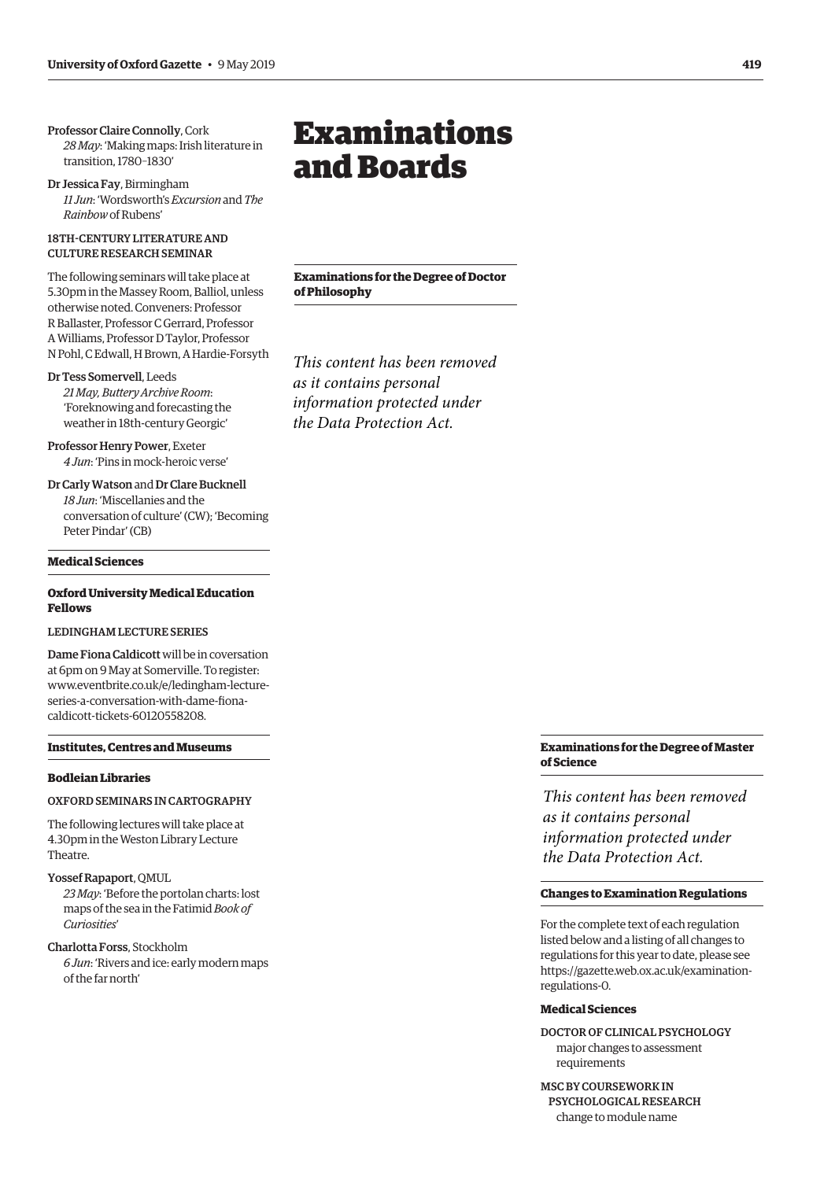<span id="page-4-0"></span>Professor Claire Connolly, Cork *28 May*: 'Making maps: Irish literature in transition, 1780–1830'

Dr Jessica Fay, Birmingham *11 Jun*: 'Wordsworth's *Excursion* and *The Rainbow* of Rubens'

#### 18TH-CENTURY LITERATURE AND CULTURE RESEARCH SEMINAR

The following seminars will take place at 5.30pm in the Massey Room, Balliol, unless otherwise noted. Conveners: Professor R Ballaster, Professor C Gerrard, Professor A Williams, Professor D Taylor, Professor N Pohl, C Edwall, H Brown, A Hardie-Forsyth

#### Dr Tess Somervell, Leeds

*21 May, Buttery Archive Room*: 'Foreknowing and forecasting the weather in 18th-century Georgic'

Professor Henry Power, Exeter *4 Jun*: 'Pins in mock-heroic verse'

Dr Carly Watson and Dr Clare Bucknell *18 Jun*: 'Miscellanies and the conversation of culture' (CW); 'Becoming Peter Pindar' (CB)

#### **Medical Sciences**

#### **Oxford University Medical Education Fellows**

#### LEDINGHAM LECTURE SERIES

Dame Fiona Caldicott will be in coversation at 6pm on 9 May at Somerville. To register: [www.eventbrite.co.uk/e/ledingham-lecture](http://www.eventbrite.co.uk/e/ledingham-lecture-series-a-conversation-with-dame-fiona-caldicott-tickets-60120558208)series-a-conversation-with-dame-fonacaldicott-tickets-60120558208.

#### **Institutes, Centres and Museums**

#### **Bodleian Libraries**

#### OXFORD SEMINARS IN CARTOGRAPHY

The following lectures will take place at 4.30pm in the Weston Library Lecture Theatre.

#### Yossef Rapaport, QMUL

*23 May*: 'Before the portolan charts: lost maps of the sea in the Fatimid *Book of Curiosities*'

Charlotta Forss, Stockholm

*6 Jun*: 'Rivers and ice: early modern maps of the far north'

## Examinations and Boards

**Examinations for the Degree of Doctor of Philosophy** 

*This content has been removed as it contains personal information protected under the Data Protection Act.*

## **Examinations for the Degree of Master of Science**

*This content has been removed as it contains personal information protected under the Data Protection Act.*

#### **Changes to Examination Regulations**

For the complete text of each regulation listed below and a listing of all changes to regulations for this year to date, please see [https://gazette.web.ox.ac.uk/examination](https://gazette.web.ox.ac.uk/examination-regulations-0)regulations-0.

#### **Medical Sciences**

DOCTOR OF CLINICAL PSYCHOLOGY major changes to assessment requirements

MSC BY COURSEWORK IN PSYCHOLOGICAL RESEARCH change to module name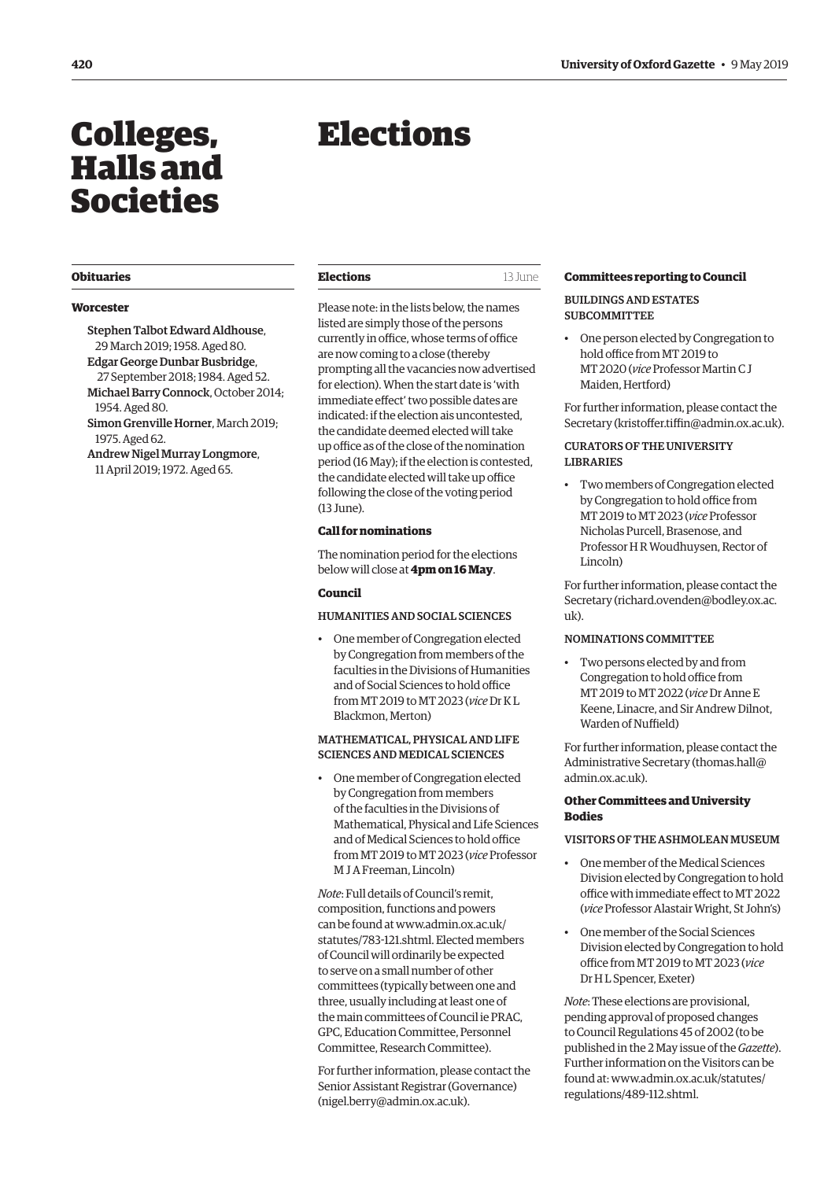# <span id="page-5-0"></span>Colleges, Halls and Societies

#### **Worcester**

Stephen Talbot Edward Aldhouse, 29 March 2019; 1958. Aged 80.

Edgar George Dunbar Busbridge, 27 September 2018; 1984. Aged 52. Michael Barry Connock, October 2014;

1954. Aged 80. Simon Grenville Horner, March 2019; 1975. Aged 62.

Andrew Nigel Murray Longmore, 11 April 2019; 1972. Aged 65.

# Elections

| <b>Obituaries</b><br>Elections |  | <b>Committees reporting to Council</b> |
|--------------------------------|--|----------------------------------------|
|--------------------------------|--|----------------------------------------|

Please note: in the lists below, the names listed are simply those of the persons currently in office, whose terms of office are now coming to a close (thereby prompting all the vacancies now advertised for election). When the start date is 'with immediate effect' two possible dates are indicated: if the election ais uncontested, the candidate deemed elected will take up office as of the close of the nomination period (16 May); if the election is contested, the candidate elected will take up office following the close of the voting period (13 June).

#### **Call for nominations**

The nomination period for the elections below will close at **4pm on 16 May**.

#### **Council**

#### HUMANITIES AND SOCIAL SCIENCES

• One member of Congregation elected by Congregation from members of the faculties in the Divisions of Humanities and of Social Sciences to hold office from MT 2019 to MT 2023 (*vice* Dr K L Blackmon, Merton)

#### MATHEMATICAL, PHYSICAL AND LIFE SCIENCES AND MEDICAL SCIENCES

• One member of Congregation elected by Congregation from members of the faculties in the Divisions of Mathematical, Physical and Life Sciences and of Medical Sciences to hold office from MT 2019 to MT 2023 (*vice* Professor M J A Freeman, Lincoln)

*Note*: Full details of Council's remit, composition, functions and powers can be found at [www.admin.ox.ac.uk/](http://www.admin.ox.ac.uk/statutes/783-121.shtml) [statutes/783-121.shtml.](http://www.admin.ox.ac.uk/statutes/783-121.shtml) Elected members of Council will ordinarily be expected to serve on a small number of other committees (typically between one and three, usually including at least one of the main committees of Council ie PRAC, GPC, Education Committee, Personnel Committee, Research Committee).

For further information, please contact the Senior Assistant Registrar (Governance) [\(nigel.berry@admin.ox.ac.uk\)](mailto:nigel.berry@admin.ox.ac.uk).

#### BUILDINGS AND ESTATES **SUBCOMMITTEE**

• One person elected by Congregation to hold office from MT 2019 to MT 2020 (*vice* Professor Martin C J Maiden, Hertford)

For further information, please contact the Secretary (kristoffer.tiffin@admin.ox.ac.uk).

#### CURATORS OF THE UNIVERSITY LIBRARIES

• Two members of Congregation elected by Congregation to hold office from MT 2019 to MT 2023 (*vice* Professor Nicholas Purcell, Brasenose, and Professor H R Woudhuysen, Rector of Lincoln)

For further information, please contact the Secretary [\(richard.ovenden@bodley.ox.ac.](mailto:richard.ovenden@bodley.ox.ac.uk)  $11k$ ).

#### NOMINATIONS COMMITTEE

• Two persons elected by and from Congregation to hold office from MT 2019 to MT 2022 (*vice* Dr Anne E Keene, Linacre, and Sir Andrew Dilnot, Warden of Nuffield)

For further information, please contact the Administrative Secretary [\(thomas.hall@](mailto:thomas.hall%40admin.ox.ac.uk?subject=) [admin.ox.ac.uk](mailto:thomas.hall%40admin.ox.ac.uk?subject=)).

#### **Other Committees and University Bodies**

#### VISITORS OF THE ASHMOLEAN MUSEUM

- One member of the Medical Sciences Division elected by Congregation to hold office with immediate effect to MT 2022 (*vice* Professor Alastair Wright, St John's)
- $\cdot$ • One member of the Social Sciences Division elected by Congregation to hold office from MT 2019 to MT 2023 (*vice* Dr H L Spencer, Exeter)

*Note*: These elections are provisional, pending approval of proposed changes to Council Regulations 45 of 2002 (to be published in the 2 May issue of the *Gazette*). Further information on the Visitors can be found at: [www.admin.ox.ac.uk/statutes/](http://www.admin.ox.ac.uk/statutes/regulations/489-112.shtml) [regulations/489-112.shtml.](http://www.admin.ox.ac.uk/statutes/regulations/489-112.shtml)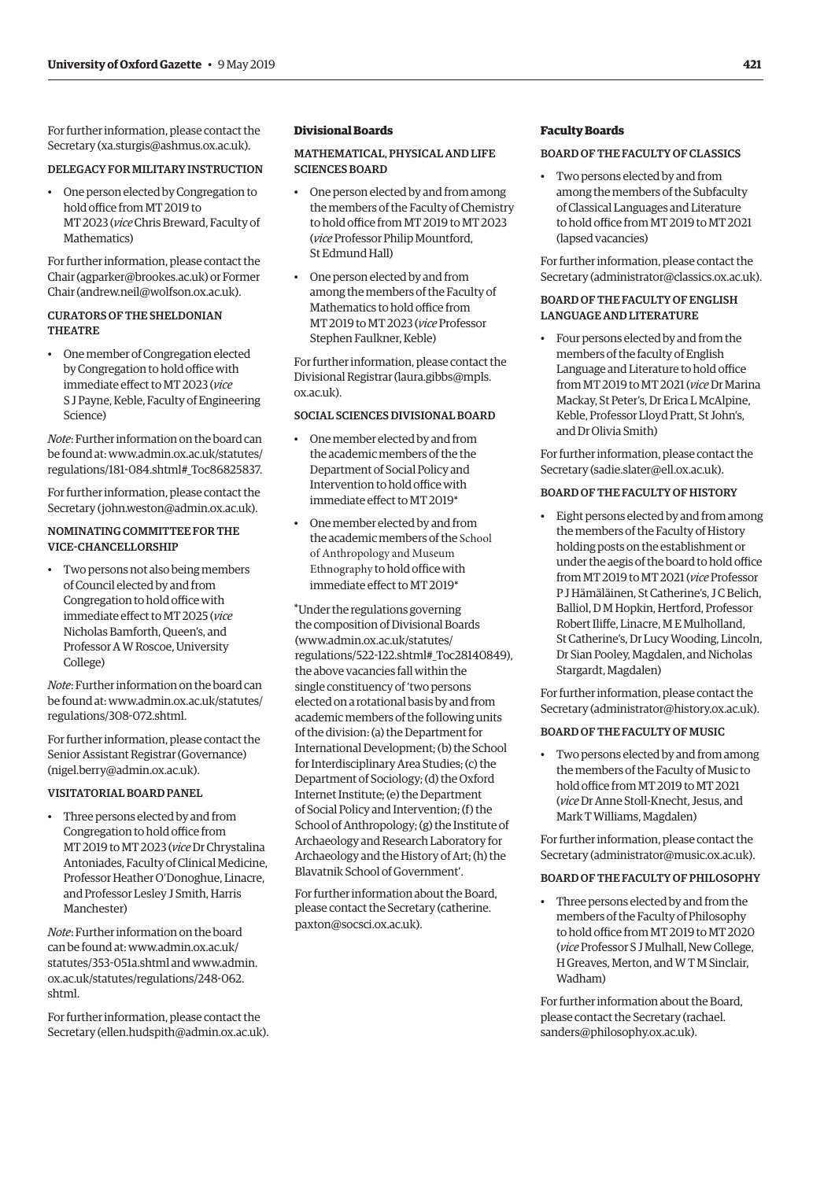<span id="page-6-0"></span>For further information, please contact the Secretary [\(xa.sturgis@ashmus.ox.ac.uk](mailto:xa.sturgis%40ashmus.ox.ac.uk?subject=)).

#### DELEGACY FOR MILITARY INSTRUCTION

• One person elected by Congregation to hold office from MT 2019 to MT 2023 (*vice* Chris Breward, Faculty of Mathematics)

For further information, please contact the Chair [\(agparker@brookes.ac.uk\)](mailto:agparker%40brookes.ac.uk?subject=) or Former Chair [\(andrew.neil@wolfson.ox.ac.uk\)](mailto:andrew.neil%40wolfson.ox.ac.uk?subject=).

#### CURATORS OF THE SHELDONIAN THEATRE

• One member of Congregation elected by Congregation to hold office with immediate efect to MT 2023 (*vice*  S J Payne, Keble, Faculty of Engineering Science)

*Note*: Further information on the board can be found at: [www.admin.ox.ac.uk/statutes/](http://www.admin.ox.ac.uk/statutes/regulations/181-084.shtml#_Toc86825837)  [regulations/181-084.shtml#\\_Toc86825837.](http://www.admin.ox.ac.uk/statutes/regulations/181-084.shtml#_Toc86825837)

For further information, please contact the Secretary [\(john.weston@admin.ox.ac.uk](mailto:john.weston%40admin.ox.ac.uk?subject=)).

#### NOMINATING COMMITTEE FOR THE VICE-CHANCELLORSHIP

• Two persons not also being members of Council elected by and from Congregation to hold office with immediate efect to MT 2025 (*vice*  Nicholas Bamforth, Queen's, and Professor A W Roscoe, University College)

*Note*: Further information on the board can be found at: [www.admin.ox.ac.uk/statutes/](http://www.admin.ox.ac.uk/statutes/regulations/308-072.shtml)  [regulations/308-072.shtml.](http://www.admin.ox.ac.uk/statutes/regulations/308-072.shtml)

For further information, please contact the Senior Assistant Registrar (Governance) [\(nigel.berry@admin.ox.ac.uk\)](mailto:nigel.berry%40admin.ox.ac.uk?subject=).

#### VISITATORIAL BOARD PANEL

• Three persons elected by and from Congregation to hold office from MT 2019 to MT 2023 (*vice* Dr Chrystalina Antoniades, Faculty of Clinical Medicine, Professor Heather O'Donoghue, Linacre, and Professor Lesley J Smith, Harris Manchester)

*Note*: Further information on the board can be found at: [www.admin.ox.ac.uk/](http://www.admin.ox.ac.uk/statutes/353-051a.shtml) [statutes/353-051a.shtml](http://www.admin.ox.ac.uk/statutes/353-051a.shtml) and [www.admin.](http://www.admin.ox.ac.uk/statutes/regulations/248-062.shtml)  [ox.ac.uk/statutes/regulations/248-062.](http://www.admin.ox.ac.uk/statutes/regulations/248-062.shtml) [shtml.](http://www.admin.ox.ac.uk/statutes/regulations/248-062.shtml) 

For further information, please contact the Secretary [\(ellen.hudspith@admin.ox.ac.uk](mailto:ellen.hudspith%40admin.ox.ac.uk?subject=)).

#### **Divisional Boards**

#### MATHEMATICAL, PHYSICAL AND LIFE SCIENCES BOARD

- One person elected by and from among the members of the Faculty of Chemistry to hold office from MT 2019 to MT 2023 (*vice* Professor Philip Mountford, St Edmund Hall)
- One person elected by and from among the members of the Faculty of Mathematics to hold office from MT 2019 to MT 2023 (*vice* Professor Stephen Faulkner, Keble)

For further information, please contact the Divisional Registrar [\(laura.gibbs@mpls.](mailto:laura.gibbs%40mpls.ox.ac.uk?subject=)  [ox.ac.uk](mailto:laura.gibbs%40mpls.ox.ac.uk?subject=)).

#### SOCIAL SCIENCES DIVISIONAL BOARD

- One member elected by and from the academic members of the the Department of Social Policy and Intervention to hold office with immediate efect to MT 2019\*
- One member elected by and from the academic members of the School of Anthropology and Museum Ethnography to hold office with immediate effect to MT 2019\*

\*Under the regulations governing [the composition of Divisional Bo](http://www.admin.ox.ac.uk/statutes/regulations/522-122.shtml#_Toc28140849)ards [\(www.admin.ox.ac.uk/statutes/](http://www.admin.ox.ac.uk/statutes/regulations/522-122.shtml#_Toc28140849)  regulations/522-122.shtml#\_Toc28140849), the above vacancies fall within the single constituency of 'two persons elected on a rotational basis by and from academic members of the following units of the division: (a) the Department for International Development; (b) the School for Interdisciplinary Area Studies; (c) the Department of Sociology; (d) the Oxford Internet Institute; (e) the Department of Social Policy and Intervention; (f) the School of Anthropology; (g) the Institute of Archaeology and Research Laboratory for Archaeology and the History of Art; (h) the Blavatnik School of Government'.

For further information abo[ut the Board](mailto:catherine.paxton%40socsci.ox.ac.uk?subject=), [please contact the Secret](mailto:catherine.paxton%40socsci.ox.ac.uk?subject=)ary (catherine. paxton@socsci.ox.ac.uk).

#### **Faculty Boards**

#### BOARD OF THE FACULTY OF CLASSICS

• Two persons elected by and from among the members of the Subfaculty of Classical Languages and Literature to hold office from MT 2019 to MT 2021 (lapsed vacancies)

For further information, please contact the Secretary [\(administrator@classics.ox.ac.uk](mailto:administrator%40classics.ox.ac.uk?subject=)).

#### BOARD OF THE FACULTY OF ENGLISH LANGUAGE AND LITERATURE

• Four persons elected by and from the members of the faculty of English Language and Literature to hold office from MT 2019 to MT 2021 (*vice* Dr Marina Mackay, St Peter's, Dr Erica L McAlpine, Keble, Professor Lloyd Pratt, St John's, and Dr Olivia Smith)

For further information, please contact the Secretary [\(sadie.slater@ell.ox.ac.uk\)](mailto:sadie.slater%40ell.ox.ac.uk?subject=).

#### BOARD OF THE FACULTY OF HISTORY

• Eight persons elected by and from among the members of the Faculty of History holding posts on the establishment or under the aegis of the board to hold office from MT 2019 to MT 2021 (*vice* Professor P J Hämäläinen, St Catherine's, J C Belich, Balliol, D M Hopkin, Hertford, Professor Robert Ilife, Linacre, M E Mulholland, St Catherine's, Dr Lucy Wooding, Lincoln, Dr Sian Pooley, Magdalen, and Nicholas Stargardt, Magdalen)

For further information, please contact the Secretary [\(administrator@history.ox.ac.uk](mailto:administrator%40history.ox.ac.uk?subject=)).

#### BOARD OF THE FACULTY OF MUSIC

• Two persons elected by and from among the members of the Faculty of Music to hold office from MT 2019 to MT 2021 (*vice* Dr Anne Stoll-Knecht, Jesus, and Mark T Williams, Magdalen)

For further information, please contact the Secretary [\(administrator@music.ox.ac.uk](mailto:administrator%40music.ox.ac.uk?subject=)).

#### BOARD OF THE FACULTY OF PHILOSOPHY

• Three persons elected by and from the members of the Faculty of Philosophy to hold office from MT 2019 to MT 2020 (*vice* Professor S J Mulhall, New College, H Greaves, Merton, and W T M Sinclair, Wadham)

For further information about the Board, please contact the Secretary [\(rachael.](mailto:rachael.sanders%40philosophy.ox.ac.uk?subject=)  [sanders@philosophy.ox.ac.uk\)](mailto:rachael.sanders%40philosophy.ox.ac.uk?subject=).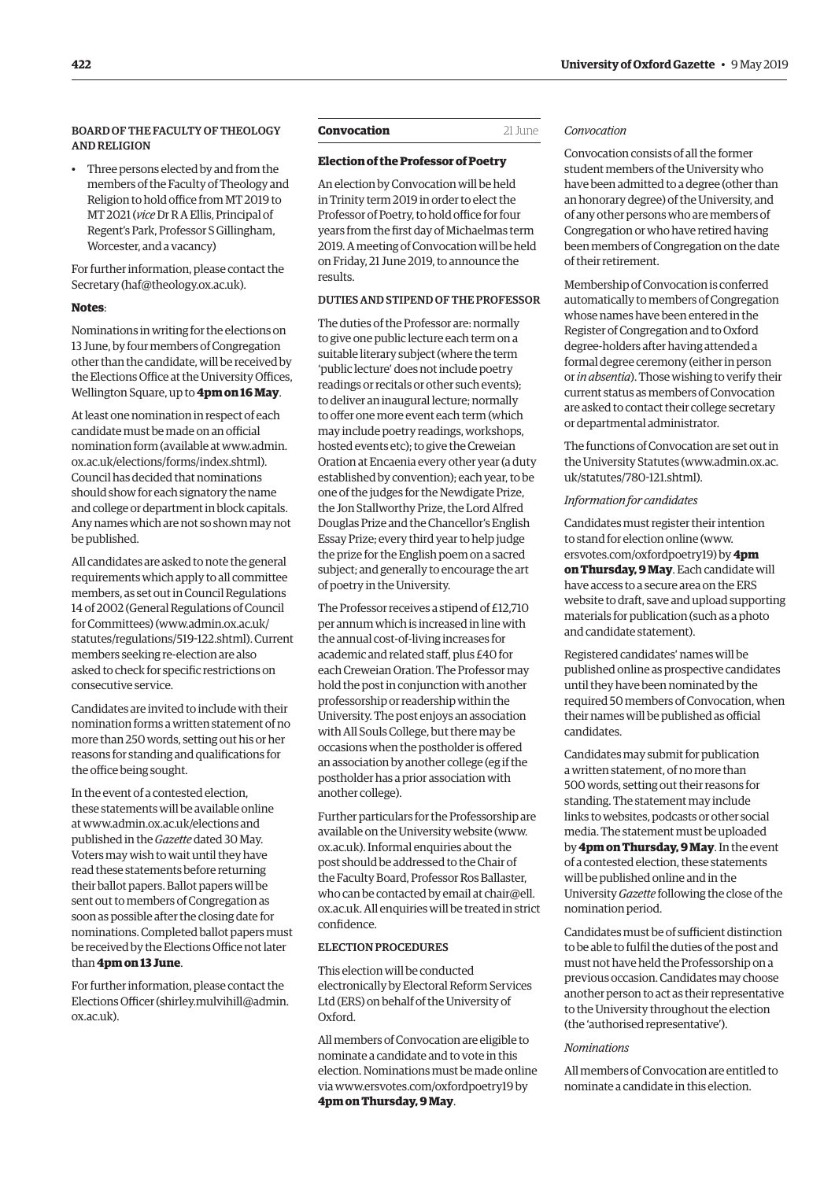#### <span id="page-7-0"></span>BOARD OF THE FACULTY OF THEOLOGY AND RELIGION

• Three persons elected by and from the members of the Faculty of Theology and Religion to hold office from MT 2019 to MT 2021 (*vice* Dr R A Ellis, Principal of Regent's Park, Professor S Gillingham, Worcester, and a vacancy)

For further information, please contact the Secretary [\(haf@theology.ox.ac.uk](mailto:haf%40theology.ox.ac.uk?subject=)).

#### **Notes**:

Nominations in writing for the elections on 13 June, by four members of Congregation other than the candidate, will be received by the Elections Office at the University Offices, Wellington Square, up to **4pm on 16 May**.

At least one nomination in respect of each candidate must be made on an official nomination form (available at [www.admin.](http://www.admin.ox.ac.uk/elections/forms/index.shtml)  [ox.ac.uk/elections/forms/index.shtml\).](http://www.admin.ox.ac.uk/elections/forms/index.shtml)  Council has decided that nominations should show for each signatory the name and college or department in block capitals. Any names which are not so shown may not be published.

All candidates are asked to note the general requirements which apply to all committee members, as set out in Council Regulations 14 of 2002 (General Regulations of Council for Committees) [\(www.admin.ox.ac.uk/](http://www.admin.ox.ac.uk/statutes/regulations/519-122.shtml) [statutes/regulations/519-122.shtml\).](http://www.admin.ox.ac.uk/statutes/regulations/519-122.shtml) Current members seeking re-election are also asked to check for specifc restrictions on consecutive service.

Candidates are invited to include with their nomination forms a written statement of no more than 250 words, setting out his or her reasons for standing and qualifcations for the office being sought.

In the event of a contested election, these statements will be available online at[www.admin.ox.ac.uk/elections](http://www.admin.ox.ac.uk/elections) and published in the *Gazette* dated 30 May. Voters may wish to wait until they have read these statements before returning their ballot papers. Ballot papers will be sent out to members of Congregation as soon as possible after the closing date for nominations. Completed ballot papers must be received by the Elections Office not later than **4pm on 13 June**.

For further information, please contact the Elections Officer [\(shirley.mulvihill@admin.](mailto:shirley.mulvihill%40admin.ox.ac.uk?subject=) [ox.ac.uk\)](mailto:shirley.mulvihill%40admin.ox.ac.uk?subject=).

#### **Convocation** 21 June

#### **Election of the Professor of Poetry**

An election by Convocation will be held in Trinity term 2019 in order to elect the Professor of Poetry, to hold office for four years from the frst day of Michaelmas term 2019. A meeting of Convocation will be held on Friday, 21 June 2019, to announce the results.

#### DUTIES AND STIPEND OF THE PROFESSOR

The duties of the Professor are: normally to give one public lecture each term on a suitable literary subject (where the term 'public lecture' does not include poetry readings or recitals or other such events); to deliver an inaugural lecture; normally to offer one more event each term (which may include poetry readings, workshops, hosted events etc); to give the Creweian Oration at Encaenia every other year (a duty established by convention); each year, to be one of the judges for the Newdigate Prize, the Jon Stallworthy Prize, the Lord Alfred Douglas Prize and the Chancellor's English Essay Prize; every third year to help judge the prize for the English poem on a sacred subject; and generally to encourage the art of poetry in the University.

The Professor receives a stipend of £12,710 per annum which is increased in line with the annual cost-of-living increases for academic and related staff, plus £40 for each Creweian Oration. The Professor may hold the post in conjunction with another professorship or readership within the University. The post enjoys an association with All Souls College, but there may be occasions when the postholder is ofered an association by another college (eg if the postholder has a prior association with another college).

Further particulars for the Professorship are available on the University website [\(www.](http://www.ox.ac.uk) [ox.ac.uk](http://www.ox.ac.uk)). Informal enquiries about the post should be addressed to the Chair of the Faculty Board, Professor Ros Ballaster, who can be contacted by email at chair@ell. [ox.ac.uk](mailto:chair%40ell.ox.ac.uk?subject=). All enquiries will be treated in strict confdence.

#### ELECTION PROCEDURES

This election will be conducted electronically by Electoral Reform Services Ltd (ERS) on behalf of the University of Oxford.

All members of Convocation are eligible to nominate a candidate and to vote in this election. Nominations must be made online via [www.ersvotes.com/oxfordpoetry19](http://www.ersvotes.com/oxfordpoetry19) by **4pm on Thursday, 9 May**.

#### *Convocation*

Convocation consists of all the former student members of the University who have been admitted to a degree (other than an honorary degree) of the University, and of any other persons who are members of Congregation or who have retired having been members of Congregation on the date of their retirement.

Membership of Convocation is conferred automatically to members of Congregation whose names have been entered in the Register of Congregation and to Oxford degree-holders after having attended a formal degree ceremony (either in person or *in absentia*). Those wishing to verify their current status as members of Convocation are asked to contact their college secretary or departmental administrator.

The functions of Convocation are set out in the University Statutes [\(www.admin.ox.ac.](http://www.admin.ox.ac.uk/statutes/780-121.shtml) [uk/statutes/780-121.shtml\).](http://www.admin.ox.ac.uk/statutes/780-121.shtml)

#### *Information for candidates*

Candidates must register their intention to stand for election online [\(www.](http://www.ersvotes.com/oxfordpoetry19) [ersvotes.com/oxfordpoetry19\)](http://www.ersvotes.com/oxfordpoetry19) by **4pm on Thursday, 9 May**. Each candidate will have access to a secure area on the ERS website to draft, save and upload supporting materials for publication (such as a photo and candidate statement).

Registered candidates' names will be published online as prospective candidates until they have been nominated by the required 50 members of Convocation, when their names will be published as official candidates.

Candidates may submit for publication a written statement, of no more than 500 words, setting out their reasons for standing. The statement may include links to websites, podcasts or other social media. The statement must be uploaded by **4pm on Thursday, 9 May**. In the event of a contested election, these statements will be published online and in the University *Gazette* following the close of the nomination period.

Candidates must be of sufficient distinction to be able to fulfl the duties of the post and must not have held the Professorship on a previous occasion. Candidates may choose another person to act as their representative to the University throughout the election (the 'authorised representative').

#### *Nominations*

All members of Convocation are entitled to nominate a candidate in this election.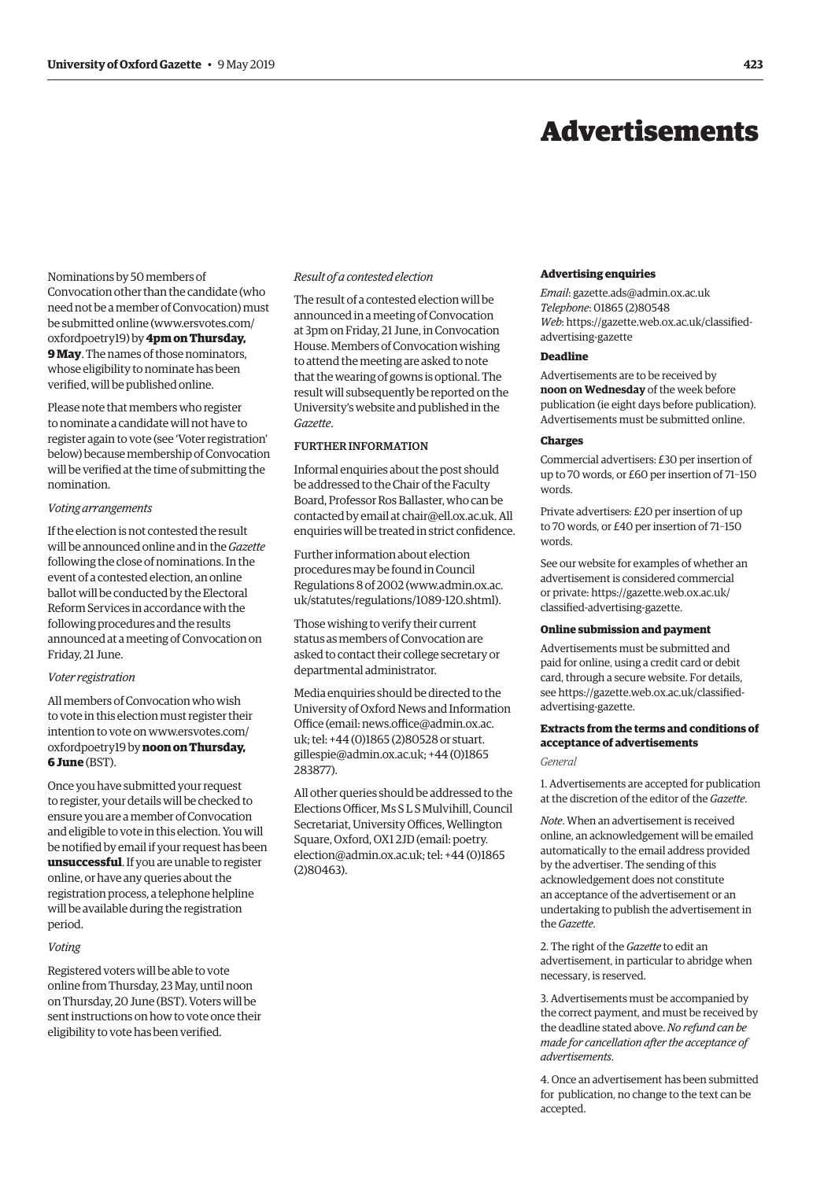## Advertisements

<span id="page-8-0"></span>Nominations by 50 members of Convocation other than the candidate (who need not be a member of Convocation) must be submitted online [\(www.ersvotes.com/](http://www.ersvotes.com/oxfordpoetry19)  [oxfordpoetry19\)](http://www.ersvotes.com/oxfordpoetry19) by **4pm on Thursday, 9 May**. The names of those nominators, whose eligibility to nominate has been verifed, will be published online.

Please note that members who register to nominate a candidate will not have to register again to vote (see 'Voter registration' below) because membership of Convocation will be verifed at the time of submitting the nomination.

#### *Voting arrangements*

If the election is not contested the result will be announced online and in the *Gazette*  following the close of nominations. In the event of a contested election, an online ballot will be conducted by the Electoral Reform Services in accordance with the following procedures and the results announced at a meeting of Convocation on Friday, 21 June.

#### *Voter registration*

All members of Convocation who wish to vote in this election must register their intention to vote on [www.ersvotes.com/](http://www.ersvotes.com/oxfordpoetry19)  [oxfordpoetry19](http://www.ersvotes.com/oxfordpoetry19) by**noon on Thursday, 6 June** (BST).

Once you have submitted your request to register, your details will be checked to ensure you are a member of Convocation and eligible to vote in this election. You will be notifed by email if your request has been **unsuccessful**. If you are unable to register online, or have any queries about the registration process, a telephone helpline will be available during the registration period.

#### *Voting*

Registered voters will be able to vote online from Thursday, 23 May, until noon on Thursday, 20 June (BST). Voters will be sent instructions on how to vote once their eligibility to vote has been verifed.

#### *Result of a contested election*

The result of a contested election will be announced in a meeting of Convocation at 3pm on Friday, 21 June, in Convocation House. Members of Convocation wishing to attend the meeting are asked to note that the wearing of gowns is optional. The result will subsequently be reported on the University's website and published in the *Gazette*.

#### FURTHER INFORMATION

Informal enquiries about the post should be addressed to the Chair of the Faculty Board, Professor Ros Ballaster, who can be contacted by email at [chair@ell.ox.ac.uk.](mailto:chair%40ell.ox.ac.uk?subject=) All enquiries will be treated in strict confdence.

Further information about election procedures may be found in Council Regulations 8 of 2002 [\(www.admin.ox.ac.](http://www.admin.ox.ac.uk/statutes/regulations/1089-120.shtml)  [uk/statutes/regulations/1089-120.shtml\).](http://www.admin.ox.ac.uk/statutes/regulations/1089-120.shtml) 

Those wishing to verify their current status as members of Convocation are asked to contact their college secretary or departmental administrator.

Media enquiries should be directed to the University of Oxford News and Information Office (email: news.office@admin.ox.ac. [uk](mailto:news.office%40admin.ox.ac.uk?subject=); tel: +44 (0)1865 (2)80528 or [stuart.](mailto:stuart.gillespie%40admin.ox.ac.uk?subject=)  [gillespie@admin.ox.ac.uk](mailto:stuart.gillespie%40admin.ox.ac.uk?subject=); +44 (0)1865 283877).

All other queries should be addressed to the Elections Officer, Ms S L S Mulvihill, Council Secretariat, University Offices, Wellington Square, Oxford, OX1 2JD (email: [poetry.](mailto:poetry.election%40admin.ox.ac.uk?subject=) [election@admin.ox.ac.uk](mailto:poetry.election%40admin.ox.ac.uk?subject=); tel: +44 (0)1865 (2)80463).

#### **Advertising enquiries**

*Email*: [gazette.ads@admin.ox.ac.uk](mailto:gazette.ads@admin.ox.ac.uk) *Telephone*: 01865 (2)80548 *Web*: https:/[/gazette.web.ox.ac.uk/classifed](http://www.ox.ac.uk/gazette/classifiedadvertising)[advertising-](http://www.ox.ac.uk/gazette/classifiedadvertising)gazette

#### **Deadline**

Advertisements are to be received by **noon on Wednesday** of the week before publication (ie eight days before publication). Advertisements must be submitted online.

#### **Charges**

Commercial advertisers: £30 per insertion of up to 70 words, or £60 per insertion of 71–150 words.

Private advertisers: £20 per insertion of up to 70 words, or £40 per insertion of 71–150 words.

See our website for examples of whether an advertisement is considered commercial or private: https://[gazette.web.ox.ac.uk/](http://www.ox.ac.uk/gazette/classifiedadvertising)  [classifed-advertising-](http://www.ox.ac.uk/gazette/classifiedadvertising)gazette.

#### **Online submission and payment**

Advertisements must be submitted and paid for online, using a credit card or debit card, through a secure website. For details, see https:/[/gazette.web.ox.ac.uk/classifed](http://www.ox.ac.uk/gazette/classifiedadvertising)[advertising-](http://www.ox.ac.uk/gazette/classifiedadvertising)gazette.

## **Extracts from the terms and conditions of acceptance of advertisements**

*General* 

1. Advertisements are accepted for publication at the discretion of the editor of the *Gazette*.

*Note*. When an advertisement is received online, an acknowledgement will be emailed automatically to the email address provided by the advertiser. The sending of this acknowledgement does not constitute an acceptance of the advertisement or an undertaking to publish the advertisement in the *Gazette*.

2. The right of the *Gazette* to edit an advertisement, in particular to abridge when necessary, is reserved.

3. Advertisements must be accompanied by the correct payment, and must be received by the deadline stated above. *No refund can be made for cancellation after the acceptance of advertisements*.

4. Once an advertisement has been submitted for publication, no change to the text can be accepted.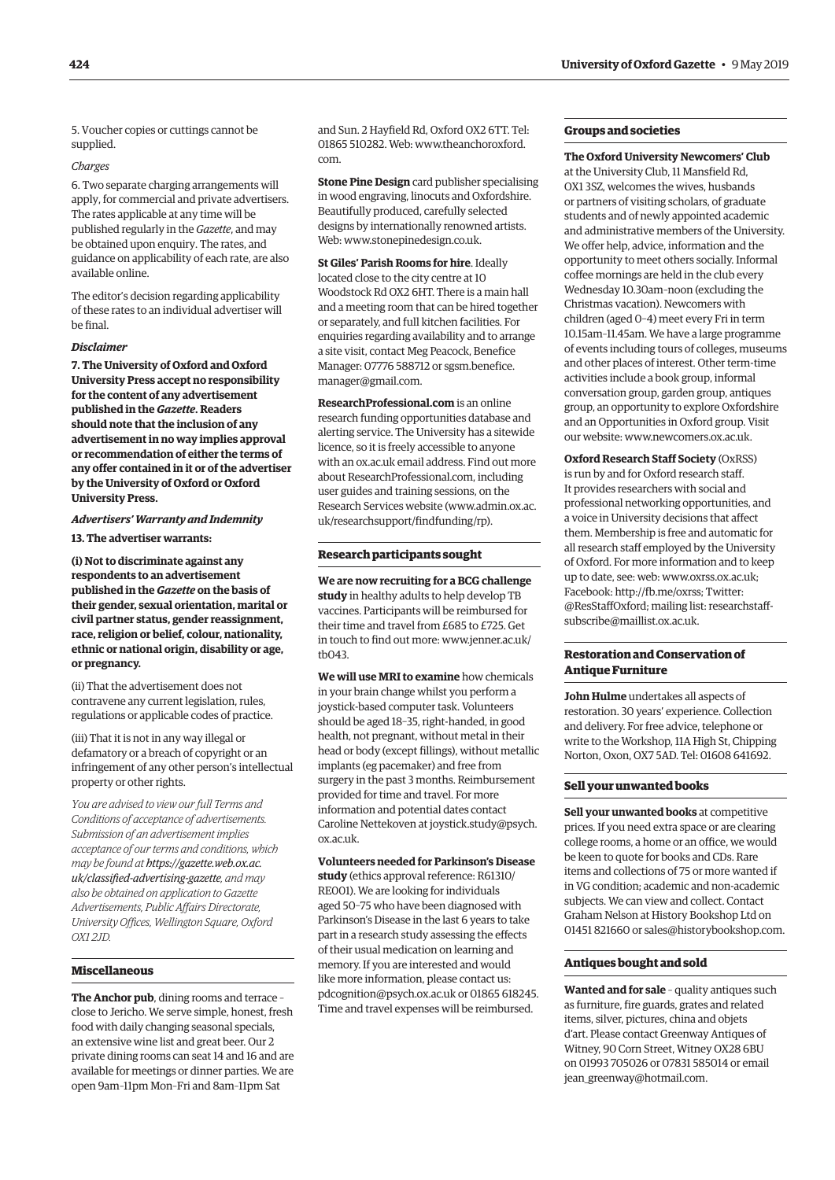5. Voucher copies or cuttings cannot be supplied.

#### *Charges*

6. Two separate charging arrangements will apply, for commercial and private advertisers. The rates applicable at any time will be published regularly in the *Gazette*, and may be obtained upon enquiry. The rates, and guidance on applicability of each rate, are also available online.

The editor's decision regarding applicability of these rates to an individual advertiser will be fnal.

#### *Disclaimer*

**7. The University of Oxford and Oxford University Press accept no responsibility for the content of any advertisement published in the** *Gazette***. Readers should note that the inclusion of any advertisement in no way implies approval or recommendation of either the terms of any offer contained in it or of the advertiser by the University of Oxford or Oxford University Press.** 

#### *Advertisers' Warranty and Indemnity*  **13. The advertiser warrants:**

**(i) Not to discriminate against any respondents to an advertisement published in the** *Gazette* **on the basis of** 

**their gender, sexual orientation, marital or civil partner status, gender reassignment, race, religion or belief, colour, nationality, ethnic or national origin, disability or age, or pregnancy.** 

(ii) That the advertisement does not contravene any current legislation, rules, regulations or applicable codes of practice.

(iii) That it is not in any way illegal or defamatory or a breach of copyright or an infringement of any other person's intellectual property or other rights.

*You are advised to view our full Terms and Conditions of acceptance of advertisements. Submission of an advertisement implies acceptance of our terms and conditions, which may be found at https:/[/gazette.web.ox.ac.](http://www.ox.ac.uk/gazette/classifiedadvertising)  [uk/classifed-advertising](http://www.ox.ac.uk/gazette/classifiedadvertising)-gazette, and may also be obtained on application to Gazette Advertisements, Public Affairs Directorate, University Offices, Wellington Square, Oxford OX1 2JD.* 

#### **Miscellaneous**

**The Anchor pub**, dining rooms and terrace – close to Jericho. We serve simple, honest, fresh food with daily changing seasonal specials, an extensive wine list and great beer. Our 2 private dining rooms can seat 14 and 16 and are available for meetings or dinner parties. We are open 9am–11pm Mon–Fri and 8am–11pm Sat

and Sun. 2 Hayfield Rd, Oxford OX2 6TT. Tel: 01865 510282. Web: [www.theanchoroxford.](http://www.theanchoroxford.com)  [com.](http://www.theanchoroxford.com)

**Stone Pine Design** card publisher specialising in wood engraving, linocuts and Oxfordshire. Beautifully produced, carefully selected designs by internationally renowned artists. Web: [www.stonepinedesign.co.uk.](http://www.stonepinedesign.co.uk)

**St Giles' Parish Rooms for hire**. Ideally located close to the city centre at 10 Woodstock Rd OX2 6HT. There is a main hall and a meeting room that can be hired together or separately, and full kitchen facilities. For enquiries regarding availability and to arrange a site visit, contact Meg Peacock, Benefice Manager: 07776 588712 or [sgsm.benefice.](mailto:sgsm.benefice.manager@gmail.com) [manager@gmail.com](mailto:sgsm.benefice.manager@gmail.com).

**[ResearchProfessional.com](http://ResearchProfessional.com)** is an online research funding opportunities database and alerting service. The University has a sitewide licence, so it is freely accessible to anyone with an [ox.ac.uk](http://ox.ac.uk) email address. Find out more about [ResearchProfessional.com](http://ResearchProfessional.com), including user guides and training sessions, on the Research Services website ([www.admin.ox.ac.](http://www.admin.ox.ac.uk/researchsupport/findfunding/rp)  [uk/researchsupport/findfunding/rp\).](http://www.admin.ox.ac.uk/researchsupport/findfunding/rp) 

#### **Research participants sought**

**We are now recruiting for a BCG challenge study** in healthy adults to help develop TB vaccines. Participants will be reimbursed for their time and travel from £685 to £725. Get in touch to find out more: [www.jenner.ac.uk/](http://www.jenner.ac.uk/tb043)  [tb043.](http://www.jenner.ac.uk/tb043)

**We will use MRI to examine** how chemicals in your brain change whilst you perform a joystick-based computer task. Volunteers should be aged 18–35, right-handed, in good health, not pregnant, without metal in their head or body (except fillings), without metallic implants (eg pacemaker) and free from surgery in the past 3 months. Reimbursement provided for time and travel. For more information and potential dates contact Caroline Nettekoven at [joystick.study@psych.](mailto:joystick.study@psych.ox.ac.uk) [ox.ac.uk.](mailto:joystick.study@psych.ox.ac.uk)

**Volunteers needed for Parkinson's Disease study** (ethics approval reference: R61310/ RE001). We are looking for individuals aged 50–75 who have been diagnosed with Parkinson's Disease in the last 6 years to take part in a research study assessing the effects of their usual medication on learning and memory. If you are interested and would like more information, please contact us: [pdcognition@psych.ox.ac.uk](mailto:pdcognition@psych.ox.ac.uk) or 01865 618245. Time and travel expenses will be reimbursed.

#### **Groups and societies**

#### **The Oxford University Newcomers' Club**

at the University Club, 11 Mansfield Rd, OX1 3SZ, welcomes the wives, husbands or partners of visiting scholars, of graduate students and of newly appointed academic and administrative members of the University. We offer help, advice, information and the opportunity to meet others socially. Informal coffee mornings are held in the club every Wednesday 10.30am–noon (excluding the Christmas vacation). Newcomers with children (aged 0–4) meet every Fri in term 10.15am–11.45am. We have a large programme of events including tours of colleges, museums and other places of interest. Other term-time activities include a book group, informal conversation group, garden group, antiques group, an opportunity to explore Oxfordshire and an Opportunities in Oxford group. Visit our website: [www.newcomers.ox.ac.uk.](http://www.newcomers.ox.ac.uk)

**Oxford Research Staff Society** (OxRSS) is run by and for Oxford research staff. It provides researchers with social and professional networking opportunities, and a voice in University decisions that affect them. Membership is free and automatic for all research staff employed by the University of Oxford. For more information and to keep up to date, see: web: [www.oxrss.ox.ac.uk](http://www.oxrss.ox.ac.uk); Facebook: <http://fb.me/oxrss;>Twitter: [@ResStaffOxford](https://twitter.com/resstaffoxford); mailing list: [researchstaff](mailto:researchstaff-subscribe@maillist.ox.ac.uk)[subscribe@maillist.ox.ac.uk](mailto:researchstaff-subscribe@maillist.ox.ac.uk).

#### **Restoration and Conservation of Antique Furniture**

**John Hulme** undertakes all aspects of restoration. 30 years' experience. Collection and delivery. For free advice, telephone or write to the Workshop, 11A High St, Chipping Norton, Oxon, OX7 5AD. Tel: 01608 641692.

#### **Sell your unwanted books**

**Sell your unwanted books** at competitive prices. If you need extra space or are clearing college rooms, a home or an office, we would be keen to quote for books and CDs. Rare items and collections of 75 or more wanted if in VG condition; academic and non-academic subjects. We can view and collect. Contact Graham Nelson at History Bookshop Ltd on 01451 821660 or [sales@historybookshop.com](mailto:sales@historybookshop.com).

#### **Antiques bought and sold**

**Wanted and for sale** – quality antiques such as furniture, fire guards, grates and related items, silver, pictures, china and objets d'art. Please contact Greenway Antiques of Witney, 90 Corn Street, Witney OX28 6BU on 01993 705026 or 07831 585014 or email [jean\\_greenway@hotmail.com](mailto:jean_greenway@hotmail.com).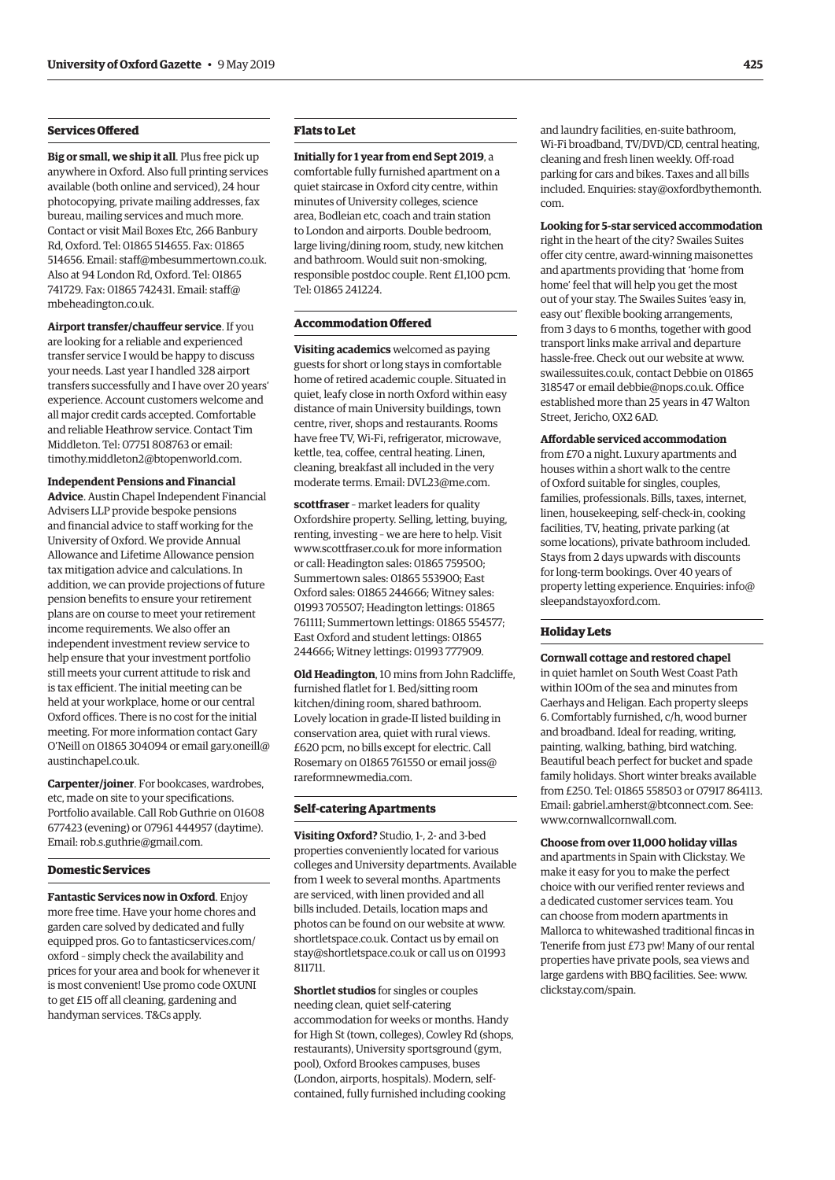#### **Services Ofered**

**Big or small, we ship it all**. Plus free pick up anywhere in Oxford. Also full printing services available (both online and serviced), 24 hour photocopying, private mailing addresses, fax bureau, mailing services and much more. Contact or visit Mail Boxes Etc, 266 Banbury Rd, Oxford. Tel: 01865 514655. Fax: 01865 514656. Email: [staff@mbesummertown.co.uk.](mailto:staff@mbesummertown.co.uk) Also at 94 London Rd, Oxford. Tel: 01865 741729. Fax: 01865 742431. Email: [staff@](mailto:staff@mbeheadington.co.uk) [mbeheadington.co.uk](mailto:staff@mbeheadington.co.uk).

**Airport transfer/chaufeur service**. If you are looking for a reliable and experienced transfer service I would be happy to discuss your needs. Last year I handled 328 airport transfers successfully and I have over 20 years' experience. Account customers welcome and all major credit cards accepted. Comfortable and reliable Heathrow service. Contact Tim Middleton. Tel: 07751 808763 or email: [timothy.middleton2@btopenworld.com.](mailto:timothy.middleton2@btopenworld.com)

#### **Independent Pensions and Financial**

**Advice**. Austin Chapel Independent Financial Advisers LLP provide bespoke pensions and financial advice to staff working for the University of Oxford. We provide Annual Allowance and Lifetime Allowance pension tax mitigation advice and calculations. In addition, we can provide projections of future pension benefits to ensure your retirement plans are on course to meet your retirement income requirements. We also offer an independent investment review service to help ensure that your investment portfolio still meets your current attitude to risk and is tax efficient. The initial meeting can be held at your workplace, home or our central Oxford offices. There is no cost for the initial meeting. For more information contact Gary O'Neill on 01865 304094 or email [gary.oneill@](mailto:gary.oneill@austinchapel.co.uk)  [austinchapel.co.uk.](mailto:gary.oneill@austinchapel.co.uk)

**Carpenter/joiner**. For bookcases, wardrobes, etc, made on site to your specifications. Portfolio available. Call Rob Guthrie on 01608 677423 (evening) or 07961 444957 (daytime). Email: [rob.s.guthrie@gmail.com.](mailto:rob.s.guthrie@gmail.com)

#### **Domestic Services**

**Fantastic Services now in Oxford**. Enjoy more free time. Have your home chores and garden care solved by dedicated and fully equipped pros. Go to [fantasticservices.com/](http://fantasticservices.com/oxford) [oxford](http://fantasticservices.com/oxford) – simply check the availability and prices for your area and book for whenever it is most convenient! Use promo code OXUNI to get £15 off all cleaning, gardening and handyman services. T&Cs apply.

#### **Flats to Let**

**Initially for 1 year from end Sept 2019**, a comfortable fully furnished apartment on a quiet staircase in Oxford city centre, within minutes of University colleges, science area, Bodleian etc, coach and train station to London and airports. Double bedroom, large living/dining room, study, new kitchen and bathroom. Would suit non-smoking, responsible postdoc couple. Rent £1,100 pcm. Tel: 01865 241224.

#### **Accommodation Ofered**

**Visiting academics** welcomed as paying guests for short or long stays in comfortable home of retired academic couple. Situated in quiet, leafy close in north Oxford within easy distance of main University buildings, town centre, river, shops and restaurants. Rooms have free TV, Wi-Fi, refrigerator, microwave, kettle, tea, coffee, central heating. Linen, cleaning, breakfast all included in the very moderate terms. Email: [DVL23@me.com.](mailto:DVL23@me.com)

**scottfraser** – market leaders for quality Oxfordshire property. Selling, letting, buying, renting, investing – we are here to help. Visit [www.scottfraser.co.uk](http://www.scottfraser.co.uk) for more information or call: Headington sales: 01865 759500; Summertown sales: 01865 553900; East Oxford sales: 01865 244666; Witney sales: 01993 705507; Headington lettings: 01865 761111; Summertown lettings: 01865 554577; East Oxford and student lettings: 01865 244666; Witney lettings: 01993 777909.

**Old Headington**, 10 mins from John Radcliffe, furnished flatlet for 1. Bed/sitting room kitchen/dining room, shared bathroom. Lovely location in grade-II listed building in conservation area, quiet with rural views. £620 pcm, no bills except for electric. Call Rosemary on 01865 761550 or email [joss@](mailto:joss@rareformnewmedia.com) [rareformnewmedia.com](mailto:joss@rareformnewmedia.com).

#### **Self-catering Apartments**

**Visiting Oxford?** Studio, 1-, 2- and 3-bed properties conveniently located for various colleges and University departments. Available from 1 week to several months. Apartments are serviced, with linen provided and all bills included. Details, location maps and photos can be found on our website at [www.](http://www.shortletspace.co.uk) [shortletspace.co.uk](http://www.shortletspace.co.uk). Contact us by email on [stay@shortletspace.co.uk](mailto:stay@shortletspace.co.uk) or call us on 01993 811711.

**Shortlet studios** for singles or couples needing clean, quiet self-catering accommodation for weeks or months. Handy for High St (town, colleges), Cowley Rd (shops, restaurants), University sportsground (gym, pool), Oxford Brookes campuses, buses (London, airports, hospitals). Modern, selfcontained, fully furnished including cooking

and laundry facilities, en-suite bathroom, Wi-Fi broadband, TV/DVD/CD, central heating, cleaning and fresh linen weekly. Off-road parking for cars and bikes. Taxes and all bills included. Enquiries: [stay@oxfordbythemonth.](mailto:stay@oxfordbythemonth.com) [com](mailto:stay@oxfordbythemonth.com).

**Looking for 5-star serviced accommodation**  right in the heart of the city? Swailes Suites offer city centre, award-winning maisonettes and apartments providing that 'home from home' feel that will help you get the most out of your stay. The Swailes Suites 'easy in, easy out' flexible booking arrangements, from 3 days to 6 months, together with good transport links make arrival and departure hassle-free. Check out our website at [www.](http://www.swailessuites.co.uk)  [swailessuites.co.uk](http://www.swailessuites.co.uk), contact Debbie on 01865 318547 or email [debbie@nops.co.uk](mailto:debbie@nops.co.uk). Office established more than 25 years in 47 Walton Street, Jericho, OX2 6AD.

**Afordable serviced accommodation**  from £70 a night. Luxury apartments and houses within a short walk to the centre of Oxford suitable for singles, couples, families, professionals. Bills, taxes, internet,

linen, housekeeping, self-check-in, cooking facilities, TV, heating, private parking (at some locations), private bathroom included. Stays from 2 days upwards with discounts for long-term bookings. Over 40 years of property letting experience. Enquiries: [info@](mailto:info@sleepandstayoxford.com) [sleepandstayoxford.com](mailto:info@sleepandstayoxford.com).

#### **Holiday Lets**

**Cornwall cottage and restored chapel**  in quiet hamlet on South West Coast Path within 100m of the sea and minutes from Caerhays and Heligan. Each property sleeps 6. Comfortably furnished, c/h, wood burner and broadband. Ideal for reading, writing, painting, walking, bathing, bird watching. Beautiful beach perfect for bucket and spade family holidays. Short winter breaks available from £250. Tel: 01865 558503 or 07917 864113. Email: [gabriel.amherst@btconnect.com](mailto:gabriel.amherst@btconnect.com). See: [www.cornwallcornwall.com.](http://www.cornwallcornwall.com)

#### **Choose from over 11,000 holiday villas**

and apartments in Spain with Clickstay. We make it easy for you to make the perfect choice with our verified renter reviews and a dedicated customer services team. You can choose from modern apartments in Mallorca to whitewashed traditional fincas in Tenerife from just £73 pw! Many of our rental properties have private pools, sea views and large gardens with BBQ facilities. See: [www.](http://www.clickstay.com/spain) [clickstay.com/spain.](http://www.clickstay.com/spain)